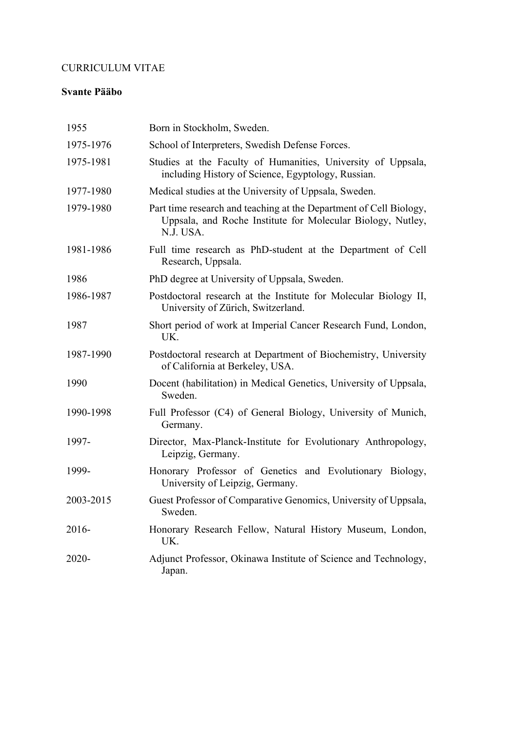### CURRICULUM VITAE

#### **Svante Pääbo**

| 1955      | Born in Stockholm, Sweden.                                                                                                                     |
|-----------|------------------------------------------------------------------------------------------------------------------------------------------------|
| 1975-1976 | School of Interpreters, Swedish Defense Forces.                                                                                                |
| 1975-1981 | Studies at the Faculty of Humanities, University of Uppsala,<br>including History of Science, Egyptology, Russian.                             |
| 1977-1980 | Medical studies at the University of Uppsala, Sweden.                                                                                          |
| 1979-1980 | Part time research and teaching at the Department of Cell Biology,<br>Uppsala, and Roche Institute for Molecular Biology, Nutley,<br>N.J. USA. |
| 1981-1986 | Full time research as PhD-student at the Department of Cell<br>Research, Uppsala.                                                              |
| 1986      | PhD degree at University of Uppsala, Sweden.                                                                                                   |
| 1986-1987 | Postdoctoral research at the Institute for Molecular Biology II,<br>University of Zürich, Switzerland.                                         |
| 1987      | Short period of work at Imperial Cancer Research Fund, London,<br>UK.                                                                          |
| 1987-1990 | Postdoctoral research at Department of Biochemistry, University<br>of California at Berkeley, USA.                                             |
| 1990      | Docent (habilitation) in Medical Genetics, University of Uppsala,<br>Sweden.                                                                   |
| 1990-1998 | Full Professor (C4) of General Biology, University of Munich,<br>Germany.                                                                      |
| 1997-     | Director, Max-Planck-Institute for Evolutionary Anthropology,<br>Leipzig, Germany.                                                             |
| 1999-     | Honorary Professor of Genetics and Evolutionary Biology,<br>University of Leipzig, Germany.                                                    |
| 2003-2015 | Guest Professor of Comparative Genomics, University of Uppsala,<br>Sweden.                                                                     |
| 2016-     | Honorary Research Fellow, Natural History Museum, London,<br>UK.                                                                               |
| 2020-     | Adjunct Professor, Okinawa Institute of Science and Technology,<br>Japan.                                                                      |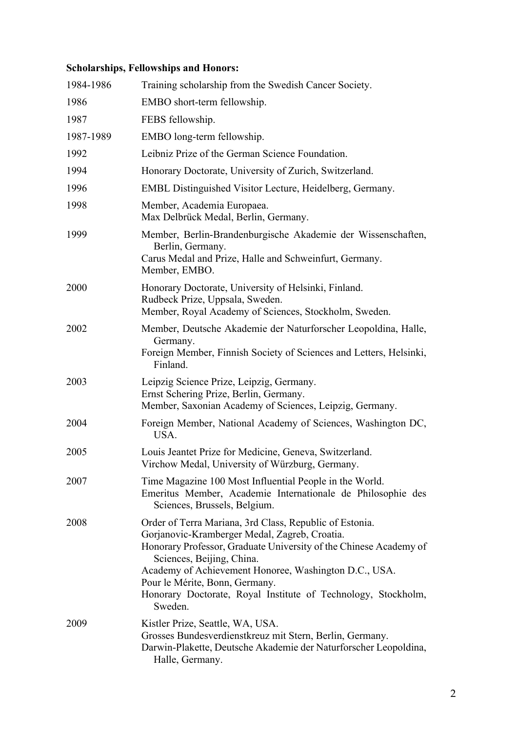# **Scholarships, Fellowships and Honors:**

| 1984-1986 | Training scholarship from the Swedish Cancer Society.                                                                                                                                                                                                                                                                                                                             |
|-----------|-----------------------------------------------------------------------------------------------------------------------------------------------------------------------------------------------------------------------------------------------------------------------------------------------------------------------------------------------------------------------------------|
| 1986      | EMBO short-term fellowship.                                                                                                                                                                                                                                                                                                                                                       |
| 1987      | FEBS fellowship.                                                                                                                                                                                                                                                                                                                                                                  |
| 1987-1989 | EMBO long-term fellowship.                                                                                                                                                                                                                                                                                                                                                        |
| 1992      | Leibniz Prize of the German Science Foundation.                                                                                                                                                                                                                                                                                                                                   |
| 1994      | Honorary Doctorate, University of Zurich, Switzerland.                                                                                                                                                                                                                                                                                                                            |
| 1996      | EMBL Distinguished Visitor Lecture, Heidelberg, Germany.                                                                                                                                                                                                                                                                                                                          |
| 1998      | Member, Academia Europaea.<br>Max Delbrück Medal, Berlin, Germany.                                                                                                                                                                                                                                                                                                                |
| 1999      | Member, Berlin-Brandenburgische Akademie der Wissenschaften,<br>Berlin, Germany.<br>Carus Medal and Prize, Halle and Schweinfurt, Germany.<br>Member, EMBO.                                                                                                                                                                                                                       |
| 2000      | Honorary Doctorate, University of Helsinki, Finland.<br>Rudbeck Prize, Uppsala, Sweden.<br>Member, Royal Academy of Sciences, Stockholm, Sweden.                                                                                                                                                                                                                                  |
| 2002      | Member, Deutsche Akademie der Naturforscher Leopoldina, Halle,<br>Germany.<br>Foreign Member, Finnish Society of Sciences and Letters, Helsinki,<br>Finland.                                                                                                                                                                                                                      |
| 2003      | Leipzig Science Prize, Leipzig, Germany.<br>Ernst Schering Prize, Berlin, Germany.<br>Member, Saxonian Academy of Sciences, Leipzig, Germany.                                                                                                                                                                                                                                     |
| 2004      | Foreign Member, National Academy of Sciences, Washington DC,<br>USA.                                                                                                                                                                                                                                                                                                              |
| 2005      | Louis Jeantet Prize for Medicine, Geneva, Switzerland.<br>Virchow Medal, University of Würzburg, Germany.                                                                                                                                                                                                                                                                         |
| 2007      | Time Magazine 100 Most Influential People in the World.<br>Emeritus Member, Academie Internationale de Philosophie des<br>Sciences, Brussels, Belgium.                                                                                                                                                                                                                            |
| 2008      | Order of Terra Mariana, 3rd Class, Republic of Estonia.<br>Gorjanovic-Kramberger Medal, Zagreb, Croatia.<br>Honorary Professor, Graduate University of the Chinese Academy of<br>Sciences, Beijing, China.<br>Academy of Achievement Honoree, Washington D.C., USA.<br>Pour le Mérite, Bonn, Germany.<br>Honorary Doctorate, Royal Institute of Technology, Stockholm,<br>Sweden. |
| 2009      | Kistler Prize, Seattle, WA, USA.<br>Grosses Bundesverdienstkreuz mit Stern, Berlin, Germany.<br>Darwin-Plakette, Deutsche Akademie der Naturforscher Leopoldina,<br>Halle, Germany.                                                                                                                                                                                               |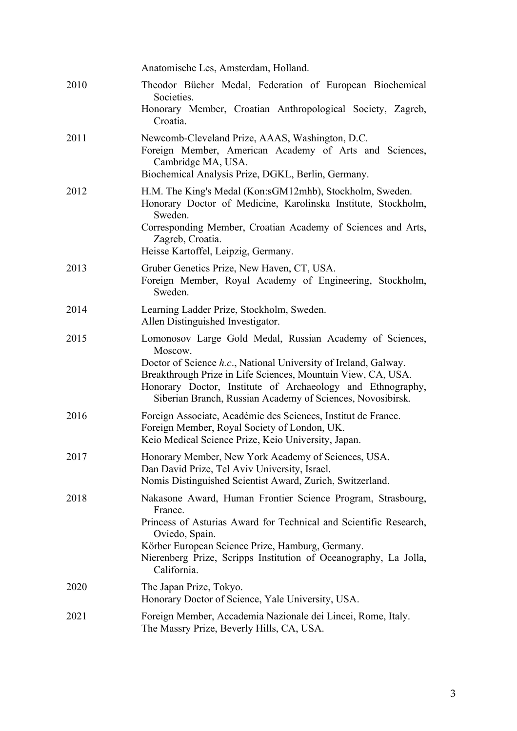|      | Anatomische Les, Amsterdam, Holland.                                                                                                                                                                                                                                                                                               |
|------|------------------------------------------------------------------------------------------------------------------------------------------------------------------------------------------------------------------------------------------------------------------------------------------------------------------------------------|
| 2010 | Theodor Bücher Medal, Federation of European Biochemical<br>Societies.<br>Honorary Member, Croatian Anthropological Society, Zagreb,<br>Croatia.                                                                                                                                                                                   |
| 2011 | Newcomb-Cleveland Prize, AAAS, Washington, D.C.<br>Foreign Member, American Academy of Arts and Sciences,<br>Cambridge MA, USA.<br>Biochemical Analysis Prize, DGKL, Berlin, Germany.                                                                                                                                              |
| 2012 | H.M. The King's Medal (Kon:sGM12mhb), Stockholm, Sweden.<br>Honorary Doctor of Medicine, Karolinska Institute, Stockholm,<br>Sweden.<br>Corresponding Member, Croatian Academy of Sciences and Arts,<br>Zagreb, Croatia.<br>Heisse Kartoffel, Leipzig, Germany.                                                                    |
| 2013 | Gruber Genetics Prize, New Haven, CT, USA.<br>Foreign Member, Royal Academy of Engineering, Stockholm,<br>Sweden.                                                                                                                                                                                                                  |
| 2014 | Learning Ladder Prize, Stockholm, Sweden.<br>Allen Distinguished Investigator.                                                                                                                                                                                                                                                     |
| 2015 | Lomonosov Large Gold Medal, Russian Academy of Sciences,<br>Moscow.<br>Doctor of Science h.c., National University of Ireland, Galway.<br>Breakthrough Prize in Life Sciences, Mountain View, CA, USA.<br>Honorary Doctor, Institute of Archaeology and Ethnography,<br>Siberian Branch, Russian Academy of Sciences, Novosibirsk. |
| 2016 | Foreign Associate, Académie des Sciences, Institut de France.<br>Foreign Member, Royal Society of London, UK.<br>Keio Medical Science Prize, Keio University, Japan.                                                                                                                                                               |
| 2017 | Honorary Member, New York Academy of Sciences, USA.<br>Dan David Prize, Tel Aviv University, Israel.<br>Nomis Distinguished Scientist Award, Zurich, Switzerland.                                                                                                                                                                  |
| 2018 | Nakasone Award, Human Frontier Science Program, Strasbourg,<br>France.<br>Princess of Asturias Award for Technical and Scientific Research,<br>Oviedo, Spain.<br>Körber European Science Prize, Hamburg, Germany.<br>Nierenberg Prize, Scripps Institution of Oceanography, La Jolla,<br>California.                               |
| 2020 | The Japan Prize, Tokyo.<br>Honorary Doctor of Science, Yale University, USA.                                                                                                                                                                                                                                                       |
| 2021 | Foreign Member, Accademia Nazionale dei Lincei, Rome, Italy.<br>The Massry Prize, Beverly Hills, CA, USA.                                                                                                                                                                                                                          |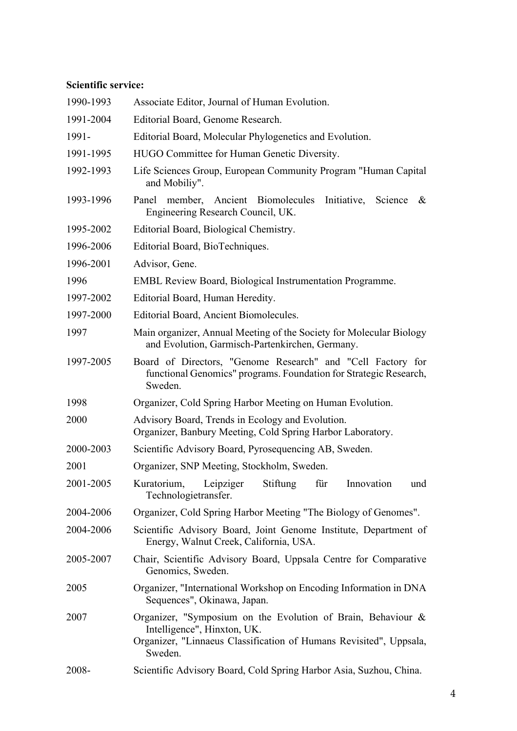### **Scientific service:**

| 1990-1993 | Associate Editor, Journal of Human Evolution.                                                                                                                                |
|-----------|------------------------------------------------------------------------------------------------------------------------------------------------------------------------------|
| 1991-2004 | Editorial Board, Genome Research.                                                                                                                                            |
| 1991-     | Editorial Board, Molecular Phylogenetics and Evolution.                                                                                                                      |
| 1991-1995 | HUGO Committee for Human Genetic Diversity.                                                                                                                                  |
| 1992-1993 | Life Sciences Group, European Community Program "Human Capital<br>and Mobiliy".                                                                                              |
| 1993-1996 | Panel member, Ancient Biomolecules Initiative, Science<br>&<br>Engineering Research Council, UK.                                                                             |
| 1995-2002 | Editorial Board, Biological Chemistry.                                                                                                                                       |
| 1996-2006 | Editorial Board, BioTechniques.                                                                                                                                              |
| 1996-2001 | Advisor, Gene.                                                                                                                                                               |
| 1996      | <b>EMBL Review Board, Biological Instrumentation Programme.</b>                                                                                                              |
| 1997-2002 | Editorial Board, Human Heredity.                                                                                                                                             |
| 1997-2000 | Editorial Board, Ancient Biomolecules.                                                                                                                                       |
| 1997      | Main organizer, Annual Meeting of the Society for Molecular Biology<br>and Evolution, Garmisch-Partenkirchen, Germany.                                                       |
| 1997-2005 | Board of Directors, "Genome Research" and "Cell Factory for<br>functional Genomics" programs. Foundation for Strategic Research,<br>Sweden.                                  |
| 1998      | Organizer, Cold Spring Harbor Meeting on Human Evolution.                                                                                                                    |
| 2000      | Advisory Board, Trends in Ecology and Evolution.<br>Organizer, Banbury Meeting, Cold Spring Harbor Laboratory.                                                               |
| 2000-2003 | Scientific Advisory Board, Pyrosequencing AB, Sweden.                                                                                                                        |
| 2001      | Organizer, SNP Meeting, Stockholm, Sweden.                                                                                                                                   |
| 2001-2005 | Kuratorium,<br>Leipziger<br>Stiftung<br>für<br>Innovation<br>und<br>Technologietransfer.                                                                                     |
| 2004-2006 | Organizer, Cold Spring Harbor Meeting "The Biology of Genomes".                                                                                                              |
| 2004-2006 | Scientific Advisory Board, Joint Genome Institute, Department of<br>Energy, Walnut Creek, California, USA.                                                                   |
| 2005-2007 | Chair, Scientific Advisory Board, Uppsala Centre for Comparative<br>Genomics, Sweden.                                                                                        |
| 2005      | Organizer, "International Workshop on Encoding Information in DNA<br>Sequences", Okinawa, Japan.                                                                             |
| 2007      | Organizer, "Symposium on the Evolution of Brain, Behaviour &<br>Intelligence", Hinxton, UK.<br>Organizer, "Linnaeus Classification of Humans Revisited", Uppsala,<br>Sweden. |
| 2008-     | Scientific Advisory Board, Cold Spring Harbor Asia, Suzhou, China.                                                                                                           |